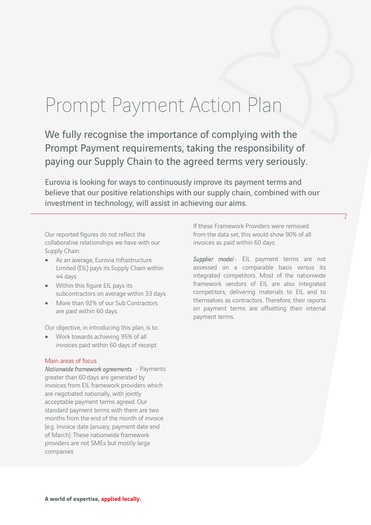## Prompt Payment Action Plan

We fully recognise the importance of complying with the Prompt Payment requirements, taking the responsibility of paying our Supply Chain to the agreed terms very seriously.

Eurovia is looking for ways to continuously improve its payment terms and believe that our positive relationships with our supply chain, combined with our investment in technology, will assist in achieving our aims.

Our reported figures do not reflect the collaborative relationships we have with our Supply Chain:

- As an average, Eurovia Infrastructure Limited (EIL) pays its Supply Chain within 44 days
- Within this figure EIL pays its subcontractors on average within 33 days
- More than 92% of our Sub Contractors are paid within 60 days.

Our objective, in introducing this plan, is to:

 Work towards achieving 95% of all invoices paid within 60 days of receipt.

## Main areas of focus

Nationwide framework agreements - Payments greater than 60 days are generated by invoices from EIL framework providers which are negotiated nationally, with jointly acceptable payment terms agreed. Our standard payment terms with them are two months from the end of the month of invoice (e.g. Invoice date January, payment date end of March). These nationwide framework providers are not SMEs but mostly large companies

If these Framework Providers were removed from the data set, this would show 90% of all invoices as paid within 60 days.

Supplier model- EIL payment terms are not assessed on a comparable basis versus its integrated competitors. Most of the nationwide framework vendors of EIL are also integrated competitors, delivering materials to EIL and to themselves as contractors. Therefore, their reports on payment terms are offsetting their internal payment terms.